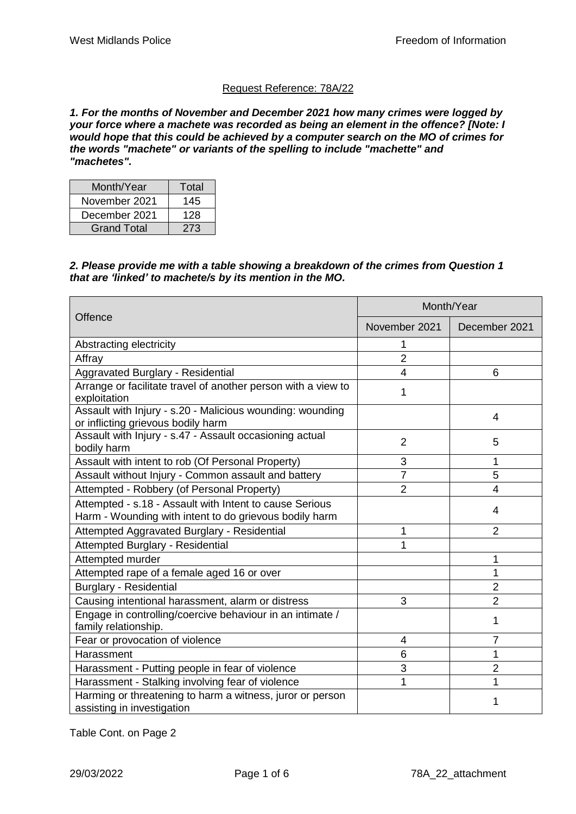# Request Reference: 78A/22

*1. For the months of November and December 2021 how many crimes were logged by your force where a machete was recorded as being an element in the offence? [Note: I would hope that this could be achieved by a computer search on the MO of crimes for the words "machete" or variants of the spelling to include "machette" and "machetes".*

| Month/Year         | Total |
|--------------------|-------|
| November 2021      | 145   |
| December 2021      | 128   |
| <b>Grand Total</b> | 273   |

#### *2. Please provide me with a table showing a breakdown of the crimes from Question 1 that are 'linked' to machete/s by its mention in the MO.*

|                                                                                                                   | Month/Year     |                |
|-------------------------------------------------------------------------------------------------------------------|----------------|----------------|
| Offence                                                                                                           | November 2021  | December 2021  |
| Abstracting electricity                                                                                           | 1              |                |
| Affray                                                                                                            | $\overline{2}$ |                |
| Aggravated Burglary - Residential                                                                                 | 4              | 6              |
| Arrange or facilitate travel of another person with a view to<br>exploitation                                     | 1              |                |
| Assault with Injury - s.20 - Malicious wounding: wounding<br>or inflicting grievous bodily harm                   |                | 4              |
| Assault with Injury - s.47 - Assault occasioning actual<br>bodily harm                                            | $\overline{2}$ | 5              |
| Assault with intent to rob (Of Personal Property)                                                                 | 3              | 1              |
| Assault without Injury - Common assault and battery                                                               | $\overline{7}$ | 5              |
| Attempted - Robbery (of Personal Property)                                                                        | $\overline{2}$ | 4              |
| Attempted - s.18 - Assault with Intent to cause Serious<br>Harm - Wounding with intent to do grievous bodily harm |                | 4              |
| Attempted Aggravated Burglary - Residential                                                                       | 1              | $\overline{2}$ |
| <b>Attempted Burglary - Residential</b>                                                                           | 1              |                |
| Attempted murder                                                                                                  |                | 1              |
| Attempted rape of a female aged 16 or over                                                                        |                |                |
| <b>Burglary - Residential</b>                                                                                     |                | $\overline{2}$ |
| Causing intentional harassment, alarm or distress                                                                 | 3              | $\overline{2}$ |
| Engage in controlling/coercive behaviour in an intimate /<br>family relationship.                                 |                | 1              |
| Fear or provocation of violence                                                                                   | 4              | 7              |
| Harassment                                                                                                        | 6              | 1              |
| Harassment - Putting people in fear of violence                                                                   | 3              | $\overline{2}$ |
| Harassment - Stalking involving fear of violence                                                                  | 1              | 1              |
| Harming or threatening to harm a witness, juror or person<br>assisting in investigation                           |                |                |

Table Cont. on Page 2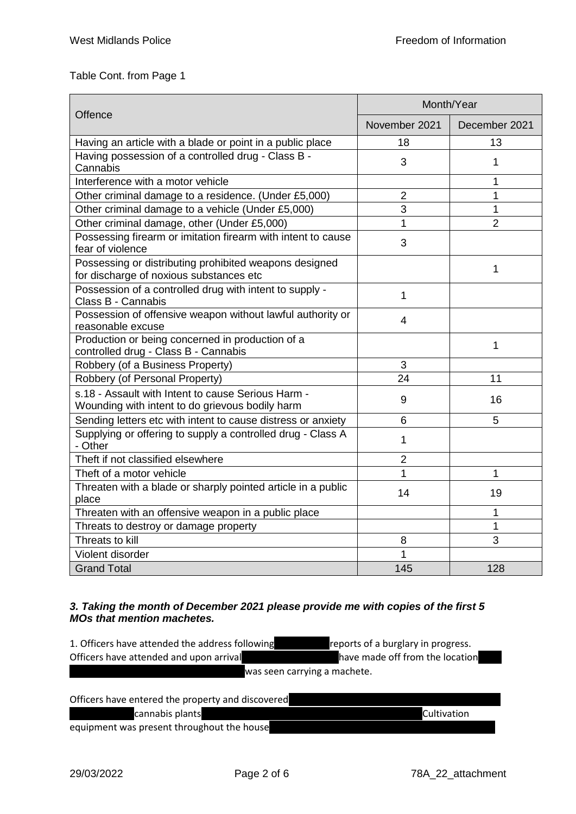# Table Cont. from Page 1

|                                                                                                       | Month/Year     |                |
|-------------------------------------------------------------------------------------------------------|----------------|----------------|
| Offence                                                                                               | November 2021  | December 2021  |
| Having an article with a blade or point in a public place                                             | 18             | 13             |
| Having possession of a controlled drug - Class B -<br>Cannabis                                        | 3              | $\mathbf{1}$   |
| Interference with a motor vehicle                                                                     |                | 1              |
| Other criminal damage to a residence. (Under £5,000)                                                  | $\overline{2}$ | $\mathbf{1}$   |
| Other criminal damage to a vehicle (Under £5,000)                                                     | 3              | 1              |
| Other criminal damage, other (Under £5,000)                                                           | 1              | $\overline{2}$ |
| Possessing firearm or imitation firearm with intent to cause<br>fear of violence                      | 3              |                |
| Possessing or distributing prohibited weapons designed<br>for discharge of noxious substances etc     |                | 1              |
| Possession of a controlled drug with intent to supply -<br>Class B - Cannabis                         | 1              |                |
| Possession of offensive weapon without lawful authority or<br>reasonable excuse                       | $\overline{4}$ |                |
| Production or being concerned in production of a<br>controlled drug - Class B - Cannabis              |                | $\mathbf{1}$   |
| Robbery (of a Business Property)                                                                      | 3              |                |
| Robbery (of Personal Property)                                                                        | 24             | 11             |
| s.18 - Assault with Intent to cause Serious Harm -<br>Wounding with intent to do grievous bodily harm | 9              | 16             |
| Sending letters etc with intent to cause distress or anxiety                                          | 6              | 5              |
| Supplying or offering to supply a controlled drug - Class A<br>- Other                                | 1              |                |
| Theft if not classified elsewhere                                                                     | $\overline{2}$ |                |
| Theft of a motor vehicle                                                                              | 1              | 1              |
| Threaten with a blade or sharply pointed article in a public<br>place                                 | 14             | 19             |
| Threaten with an offensive weapon in a public place                                                   |                | 1              |
| Threats to destroy or damage property                                                                 |                | 1              |
| Threats to kill                                                                                       | 8              | 3              |
| Violent disorder                                                                                      | 1              |                |
| <b>Grand Total</b>                                                                                    | 145            | 128            |

## *3. Taking the month of December 2021 please provide me with copies of the first 5 MOs that mention machetes.*

| 1. Officers have attended the address following | reports of a burglary in progress. |
|-------------------------------------------------|------------------------------------|
| Officers have attended and upon arrival         | have made off from the location    |
|                                                 | was seen carrying a machete.       |

| Officers have entered the property and discovered |                    |
|---------------------------------------------------|--------------------|
| cannabis plants                                   | <b>Cultivation</b> |
| equipment was present throughout the house        |                    |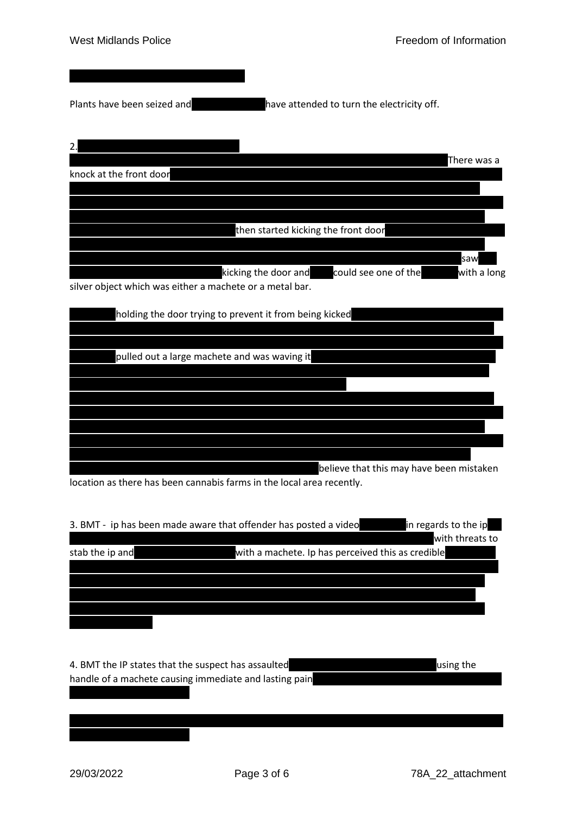Plants have been seized andxxxxxxxxxxxxxxxxhave attended to turn the electricity off.

| 2.                                                       |                                     |                      |             |
|----------------------------------------------------------|-------------------------------------|----------------------|-------------|
|                                                          |                                     |                      | There was a |
| knock at the front door                                  |                                     |                      |             |
|                                                          |                                     |                      |             |
|                                                          |                                     |                      |             |
|                                                          |                                     |                      |             |
|                                                          | then started kicking the front door |                      |             |
|                                                          |                                     |                      |             |
|                                                          |                                     |                      | saw         |
|                                                          | kicking the door and                | could see one of the | with a long |
| silver object which was either a machete or a metal bar. |                                     |                      |             |
|                                                          |                                     |                      |             |
| holding the door trying to prevent it from being kicked  |                                     |                      |             |
|                                                          |                                     |                      |             |
|                                                          |                                     |                      |             |
| pulled out a large machete and was waving it             |                                     |                      |             |
|                                                          |                                     |                      |             |
|                                                          |                                     |                      |             |

believe that this may have been mistaken

location as there has been cannabis farms in the local area recently.

| 3. BMT - ip has been made aware that offender has posted a video |                                                   | in regards to the ip |
|------------------------------------------------------------------|---------------------------------------------------|----------------------|
|                                                                  |                                                   | with threats to      |
| stab the ip and                                                  | with a machete. Ip has perceived this as credible |                      |
|                                                                  |                                                   |                      |
|                                                                  |                                                   |                      |
|                                                                  |                                                   |                      |
|                                                                  |                                                   |                      |
|                                                                  |                                                   |                      |
|                                                                  |                                                   |                      |
|                                                                  |                                                   |                      |
| 4. BMT the IP states that the suspect has assaulted              |                                                   | using the            |

handle of a machete causing immediate and lasting pain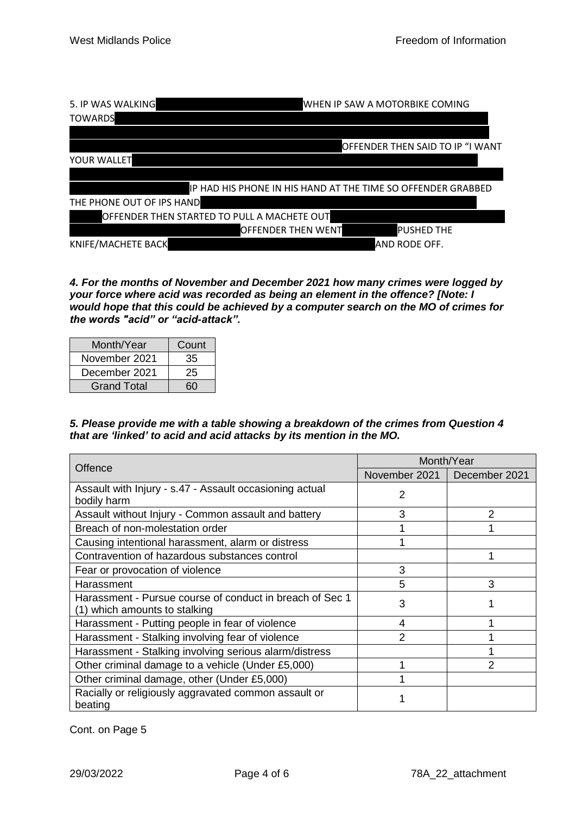| 5. IP WAS WALKING                           | WHEN IP SAW A MOTORBIKE COMING                               |
|---------------------------------------------|--------------------------------------------------------------|
| <b>TOWARDS</b>                              |                                                              |
|                                             |                                                              |
|                                             | OFFENDER THEN SAID TO IP "I WANT                             |
| YOUR WALLET                                 |                                                              |
|                                             |                                                              |
|                                             | IP HAD HIS PHONE IN HIS HAND AT THE TIME SO OFFENDER GRABBED |
| THE PHONE OUT OF IPS HAND                   |                                                              |
| OFFENDER THEN STARTED TO PULL A MACHETE OUT |                                                              |
|                                             | <b>PUSHED THE</b><br>OFFENDER THEN WENT                      |
| <b>KNIFE/MACHETE BACK</b>                   | AND RODE OFF.                                                |

*4. For the months of November and December 2021 how many crimes were logged by your force where acid was recorded as being an element in the offence? [Note: I would hope that this could be achieved by a computer search on the MO of crimes for the words "acid" or "acid-attack".*

| Month/Year         | Count |
|--------------------|-------|
| November 2021      | 35    |
| December 2021      | 25    |
| <b>Grand Total</b> | 6በ    |

## *5. Please provide me with a table showing a breakdown of the crimes from Question 4 that are 'linked' to acid and acid attacks by its mention in the MO.*

| Offence                                                         | Month/Year    |               |
|-----------------------------------------------------------------|---------------|---------------|
|                                                                 | November 2021 | December 2021 |
| Assault with Injury - s.47 - Assault occasioning actual         | 2             |               |
| bodily harm                                                     |               |               |
| Assault without Injury - Common assault and battery             | 3             | $\mathcal{P}$ |
| Breach of non-molestation order                                 |               |               |
| Causing intentional harassment, alarm or distress               |               |               |
| Contravention of hazardous substances control                   |               |               |
| Fear or provocation of violence                                 | 3             |               |
| Harassment                                                      | 5             | 3             |
| Harassment - Pursue course of conduct in breach of Sec 1        | 3             |               |
| (1) which amounts to stalking                                   |               |               |
| Harassment - Putting people in fear of violence                 | 4             |               |
| Harassment - Stalking involving fear of violence                | 2             |               |
| Harassment - Stalking involving serious alarm/distress          |               |               |
| Other criminal damage to a vehicle (Under £5,000)               |               |               |
| Other criminal damage, other (Under £5,000)                     |               |               |
| Racially or religiously aggravated common assault or<br>beating |               |               |

Cont. on Page 5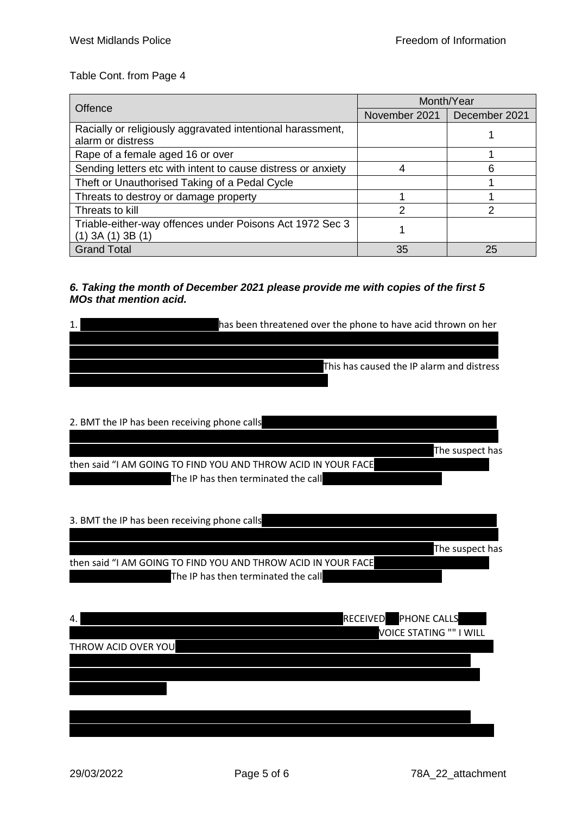Table Cont. from Page 4

|                                                                                     | Month/Year                    |    |
|-------------------------------------------------------------------------------------|-------------------------------|----|
| Offence                                                                             | November 2021   December 2021 |    |
| Racially or religiously aggravated intentional harassment,<br>alarm or distress     |                               |    |
| Rape of a female aged 16 or over                                                    |                               |    |
| Sending letters etc with intent to cause distress or anxiety                        |                               | 6  |
| Theft or Unauthorised Taking of a Pedal Cycle                                       |                               |    |
| Threats to destroy or damage property                                               |                               |    |
| Threats to kill                                                                     | າ                             | າ  |
| Triable-either-way offences under Poisons Act 1972 Sec 3<br>$(1)$ 3A $(1)$ 3B $(1)$ |                               |    |
| <b>Grand Total</b>                                                                  | 35                            | 25 |

#### *6. Taking the month of December 2021 please provide me with copies of the first 5 MOs that mention acid.*

| has been threatened over the phone to have acid thrown on her |
|---------------------------------------------------------------|
|                                                               |
|                                                               |
| This has caused the IP alarm and distress                     |
|                                                               |

| 2. BMT the IP has been receiving phone calls                  |                 |
|---------------------------------------------------------------|-----------------|
|                                                               | The suspect has |
| then said "I AM GOING TO FIND YOU AND THROW ACID IN YOUR FACE |                 |
| The IP has then terminated the call                           |                 |

| 3. BMT the IP has been receiving phone calls                  |                 |
|---------------------------------------------------------------|-----------------|
|                                                               |                 |
|                                                               | The suspect has |
| then said "I AM GOING TO FIND YOU AND THROW ACID IN YOUR FACE |                 |
| The IP has then terminated the call                           |                 |
|                                                               |                 |
|                                                               |                 |